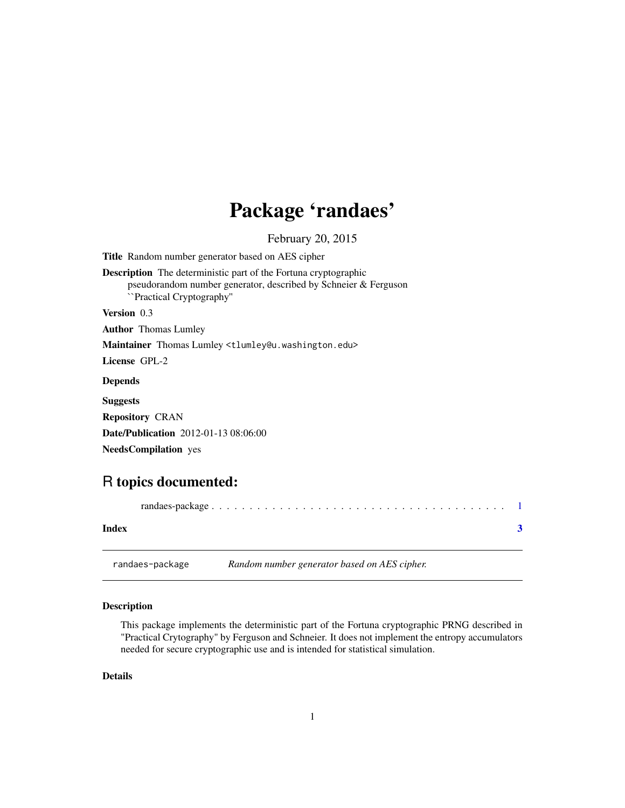## <span id="page-0-0"></span>Package 'randaes'

February 20, 2015

<span id="page-0-1"></span>Title Random number generator based on AES cipher Description The deterministic part of the Fortuna cryptographic pseudorandom number generator, described by Schneier & Ferguson ``Practical Cryptography'' Version 0.3 Author Thomas Lumley Maintainer Thomas Lumley <tlumley@u.washington.edu> License GPL-2 Depends Suggests Repository CRAN Date/Publication 2012-01-13 08:06:00 NeedsCompilation yes

### R topics documented:

| Index |                 |                                              |  |
|-------|-----------------|----------------------------------------------|--|
|       | randaes-package | Random number generator based on AES cipher. |  |

#### Description

This package implements the deterministic part of the Fortuna cryptographic PRNG described in "Practical Crytography" by Ferguson and Schneier. It does not implement the entropy accumulators needed for secure cryptographic use and is intended for statistical simulation.

#### Details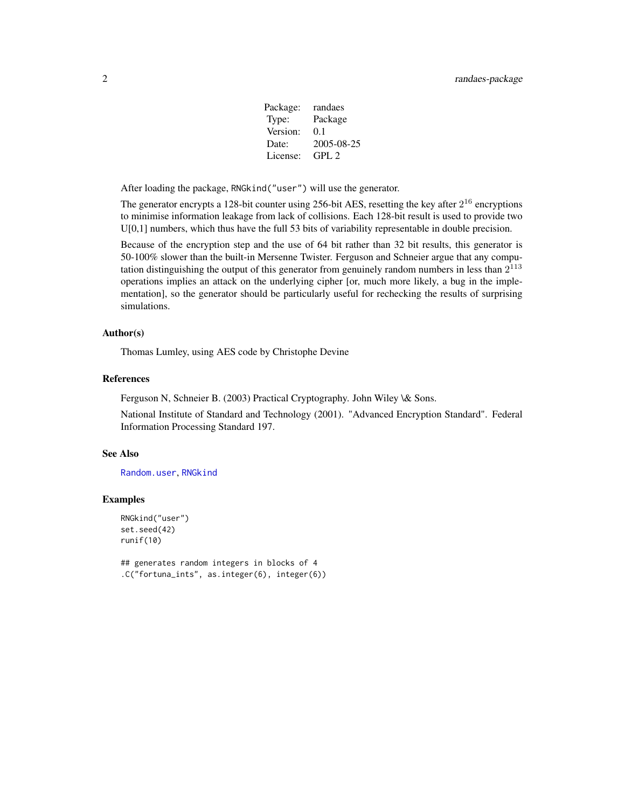| Package: | randaes    |
|----------|------------|
| Type:    | Package    |
| Version: | 0.1        |
| Date:    | 2005-08-25 |
| License: | GPL 2      |

<span id="page-1-0"></span>After loading the package, RNGkind("user") will use the generator.

The generator encrypts a 128-bit counter using 256-bit AES, resetting the key after  $2^{16}$  encryptions to minimise information leakage from lack of collisions. Each 128-bit result is used to provide two U[0,1] numbers, which thus have the full 53 bits of variability representable in double precision.

Because of the encryption step and the use of 64 bit rather than 32 bit results, this generator is 50-100% slower than the built-in Mersenne Twister. Ferguson and Schneier argue that any computation distinguishing the output of this generator from genuinely random numbers in less than  $2^{113}$ operations implies an attack on the underlying cipher [or, much more likely, a bug in the implementation], so the generator should be particularly useful for rechecking the results of surprising simulations.

#### Author(s)

Thomas Lumley, using AES code by Christophe Devine

#### References

Ferguson N, Schneier B. (2003) Practical Cryptography. John Wiley \& Sons.

National Institute of Standard and Technology (2001). "Advanced Encryption Standard". Federal Information Processing Standard 197.

#### See Also

[Random.user](#page-0-1), [RNGkind](#page-0-1)

#### Examples

```
RNGkind("user")
set.seed(42)
runif(10)
```
## generates random integers in blocks of 4 .C("fortuna\_ints", as.integer(6), integer(6))